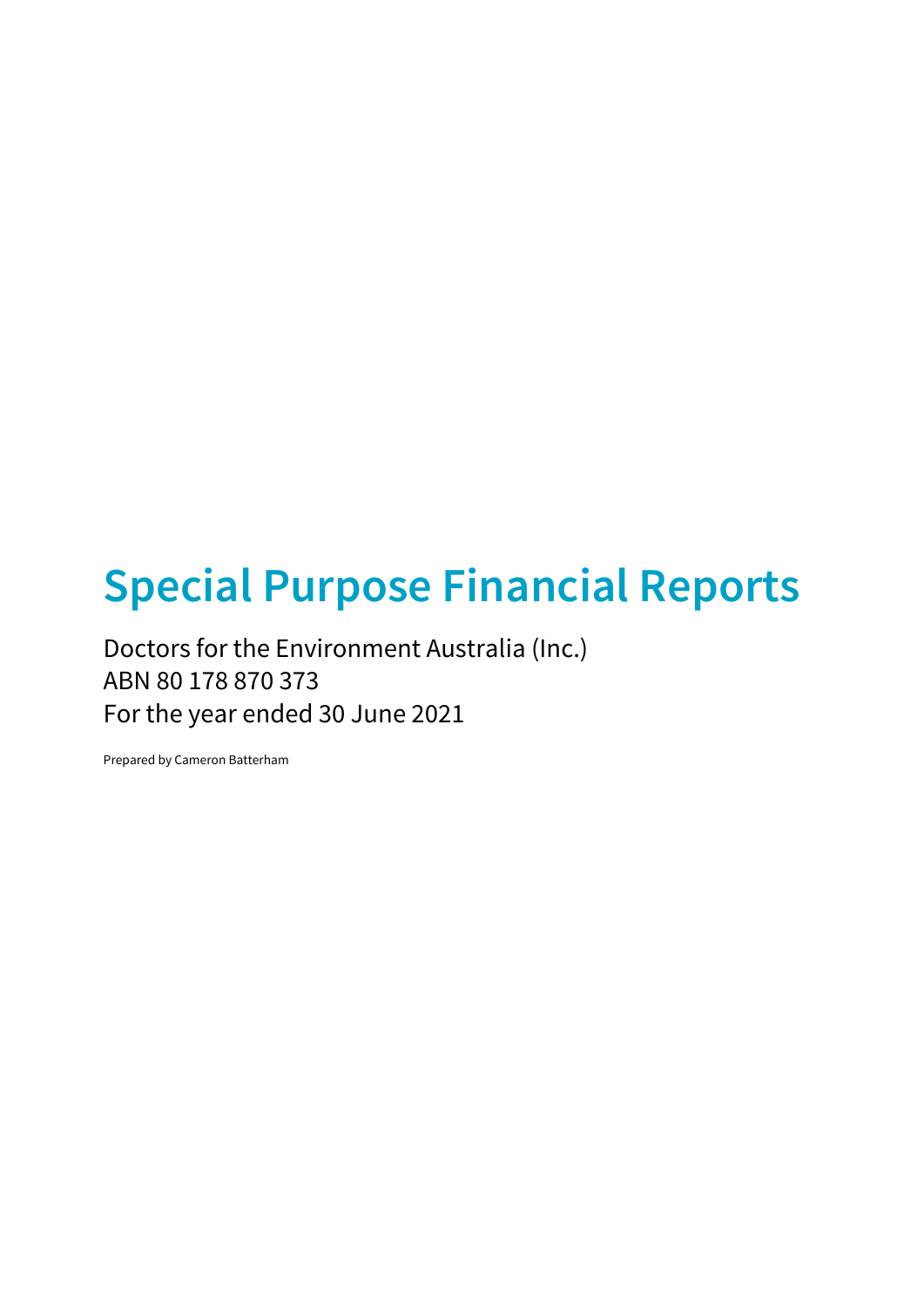# Special Purpose Financial Reports

Doctors for the Environment Australia (Inc.) ABN 80 178 870 373 For the year ended 30 June 2021

Prepared by Cameron Batterham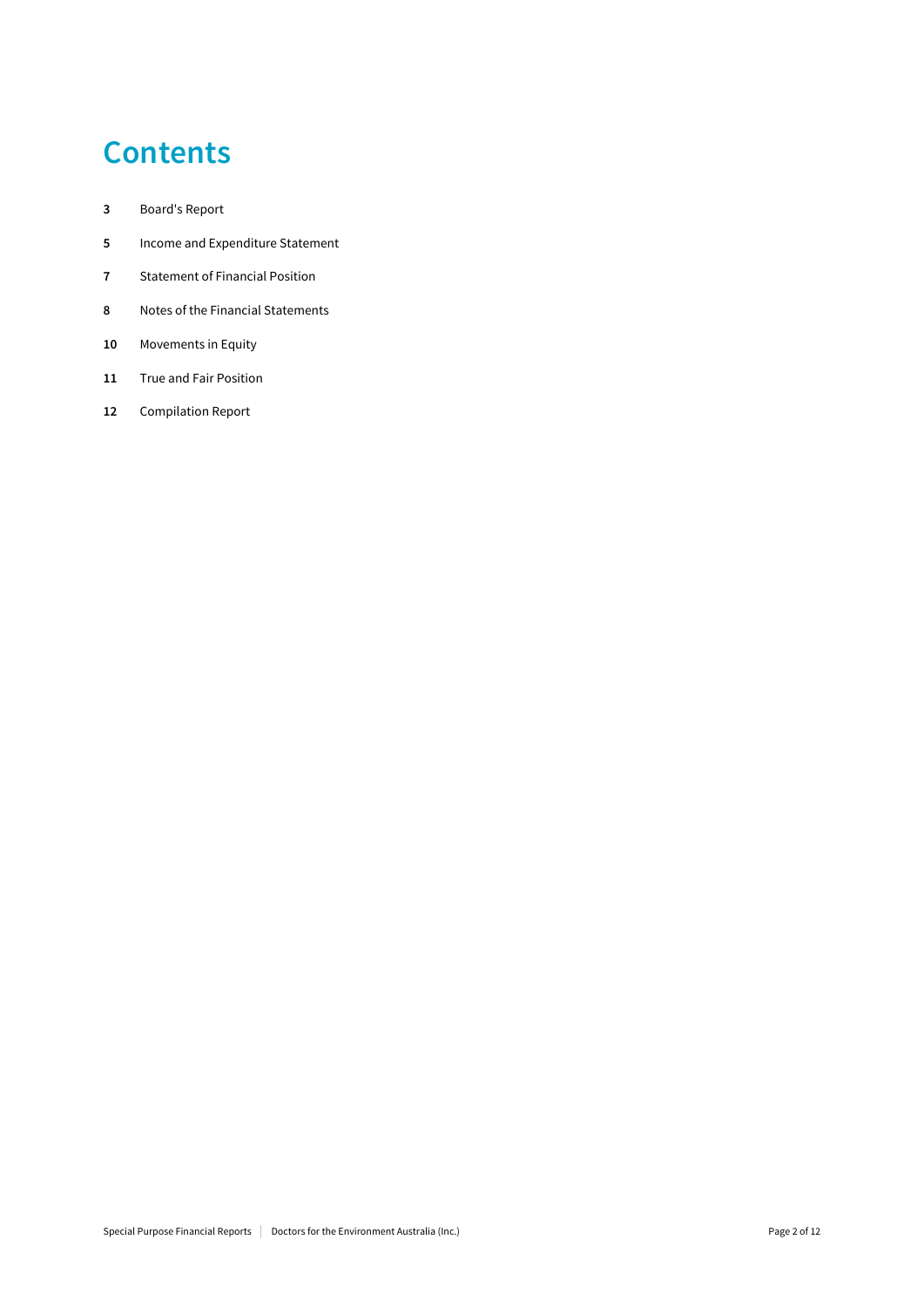## **Contents**

- Board's Report
- Income and Expenditure Statement
- Statement of Financial Position
- Notes of the Financial Statements
- Movements in Equity
- 11 True and Fair Position
- Compilation Report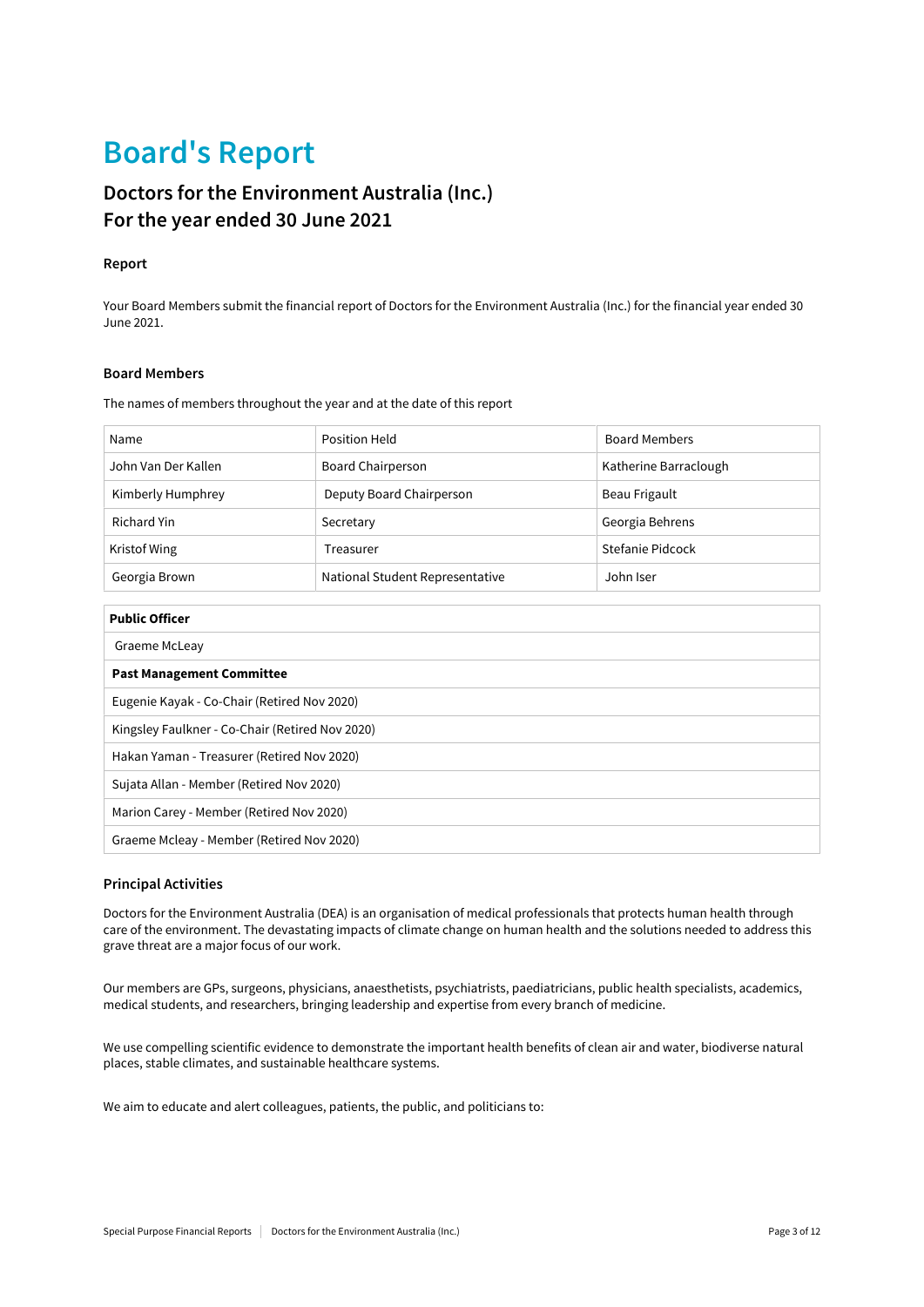## Board's Report

### Doctors for the Environment Australia (Inc.) For the year ended 30 June 2021

### Report

Your Board Members submit the financial report of Doctors for the Environment Australia (Inc.) for the financial year ended 30 June 2021.

### Board Members

The names of members throughout the year and at the date of this report

| Name                | Position Held                   | <b>Board Members</b>  |
|---------------------|---------------------------------|-----------------------|
| John Van Der Kallen | <b>Board Chairperson</b>        | Katherine Barraclough |
| Kimberly Humphrey   | Deputy Board Chairperson        | Beau Frigault         |
| Richard Yin         | Secretary                       | Georgia Behrens       |
| Kristof Wing        | Treasurer                       | Stefanie Pidcock      |
| Georgia Brown       | National Student Representative | John Iser             |

| <b>Public Officer</b>                           |
|-------------------------------------------------|
| Graeme McLeay                                   |
| <b>Past Management Committee</b>                |
| Eugenie Kayak - Co-Chair (Retired Nov 2020)     |
| Kingsley Faulkner - Co-Chair (Retired Nov 2020) |
| Hakan Yaman - Treasurer (Retired Nov 2020)      |
| Sujata Allan - Member (Retired Nov 2020)        |
| Marion Carey - Member (Retired Nov 2020)        |
| Graeme Mcleay - Member (Retired Nov 2020)       |

### Principal Activities

Doctors for the Environment Australia (DEA) is an organisation of medical professionals that protects human health through care of the environment. The devastating impacts of climate change on human health and the solutions needed to address this grave threat are a major focus of our work.

Our members are GPs, surgeons, physicians, anaesthetists, psychiatrists, paediatricians, public health specialists, academics, medical students, and researchers, bringing leadership and expertise from every branch of medicine.

We use compelling scientific evidence to demonstrate the important health benefits of clean air and water, biodiverse natural places, stable climates, and sustainable healthcare systems.

We aim to educate and alert colleagues, patients, the public, and politicians to: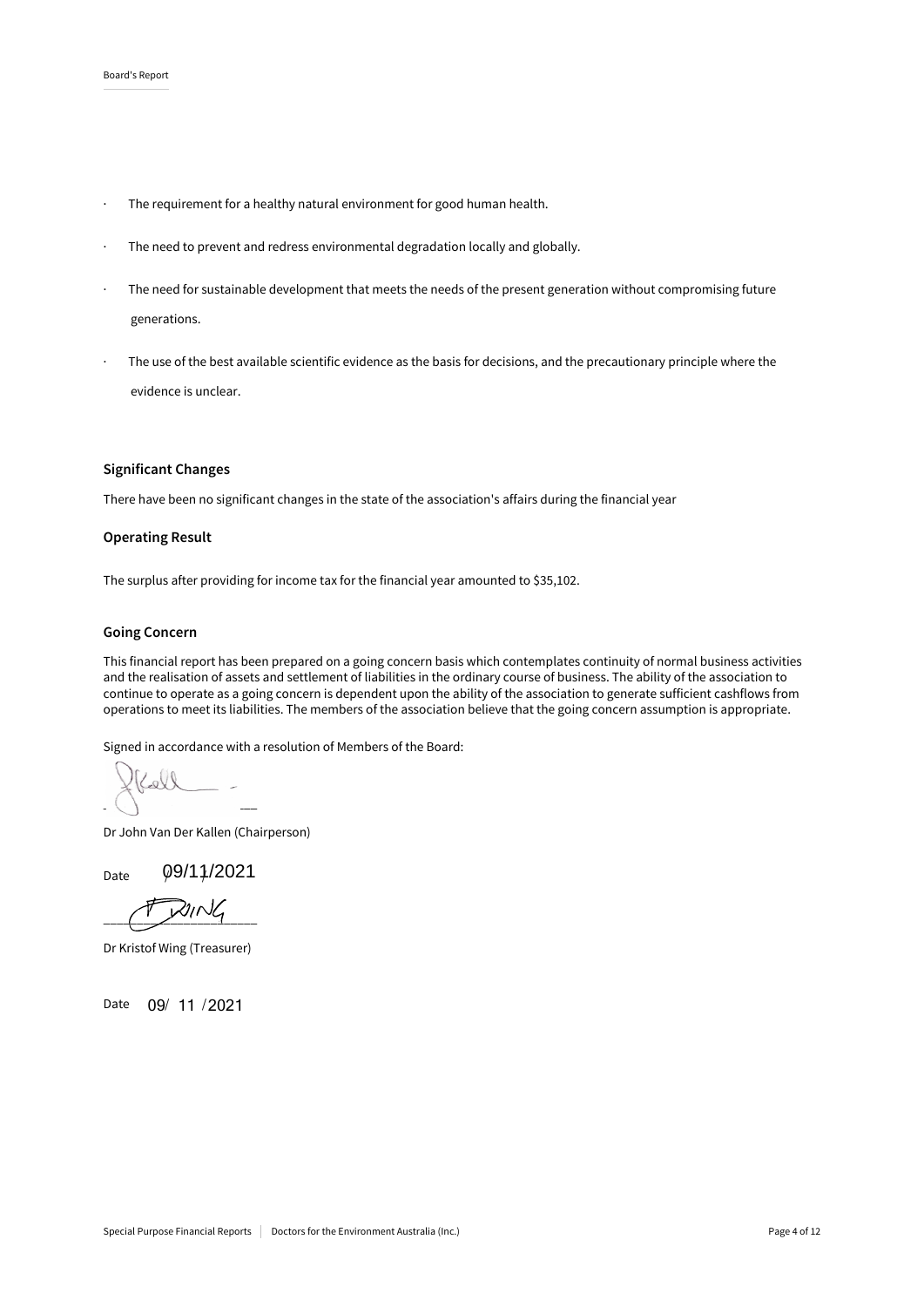- · The requirement for a healthy natural environment for good human health.
- · The need to prevent and redress environmental degradation locally and globally.
- The need for sustainable development that meets the needs of the present generation without compromising future generations.
- The use of the best available scientific evidence as the basis for decisions, and the precautionary principle where the evidence is unclear.

### Significant Changes

There have been no significant changes in the state of the association's affairs during the financial year

### Operating Result

The surplus after providing for income tax for the financial year amounted to \$35,102.

#### Going Concern

This financial report has been prepared on a going concern basis which contemplates continuity of normal business activities and the realisation of assets and settlement of liabilities in the ordinary course of business. The ability of the association to continue to operate as a going concern is dependent upon the ability of the association to generate sufficient cashflows from operations to meet its liabilities. The members of the association believe that the going concern assumption is appropriate.

Signed in accordance with a resolution of Members of the Board:

Lell  $\overline{\mathcal{L}}$  , and the set of the set of the set of the set of the set of the set of the set of the set of the set of the set of the set of the set of the set of the set of the set of the set of the set of the set of the s

Dr John Van Der Kallen (Chairperson)

Date  $\varphi$ 9/11/2021

 $\overline{\phantom{a}}$ 

Dr Kristof Wing (Treasurer)

Date 09/ 11 / 2021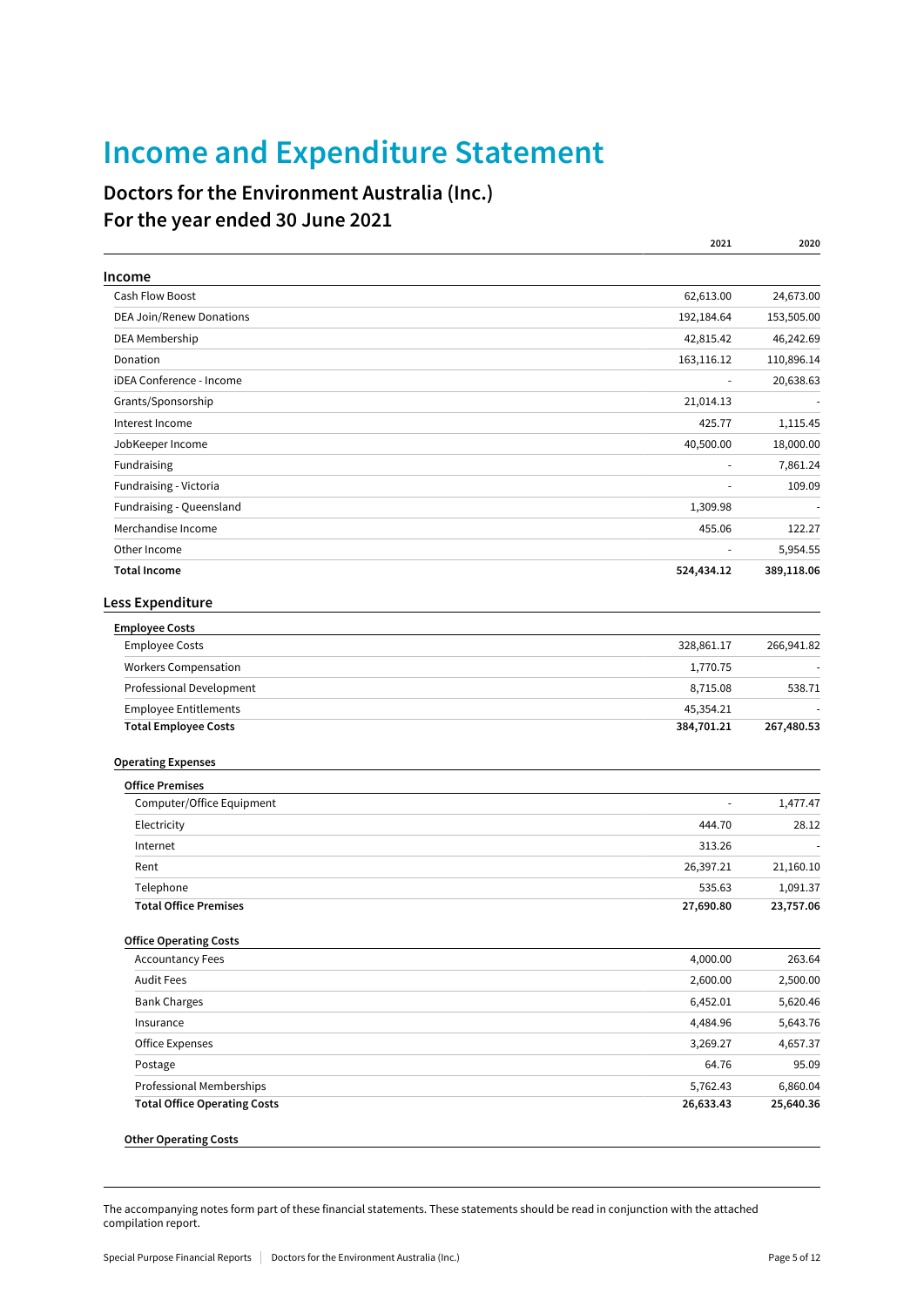## Income and Expenditure Statement

### Doctors for the Environment Australia (Inc.) For the year ended 30 June 2021

|                                     | 2021       | 2020       |
|-------------------------------------|------------|------------|
| Income                              |            |            |
| <b>Cash Flow Boost</b>              | 62,613.00  | 24,673.00  |
| <b>DEA Join/Renew Donations</b>     | 192,184.64 | 153,505.00 |
| DEA Membership                      | 42,815.42  | 46,242.69  |
| Donation                            | 163,116.12 | 110,896.14 |
| iDEA Conference - Income            |            | 20,638.63  |
| Grants/Sponsorship                  | 21,014.13  |            |
| Interest Income                     | 425.77     | 1,115.45   |
| JobKeeper Income                    | 40,500.00  | 18,000.00  |
| Fundraising                         |            | 7,861.24   |
| Fundraising - Victoria              |            | 109.09     |
| Fundraising - Queensland            | 1,309.98   |            |
| Merchandise Income                  | 455.06     | 122.27     |
| Other Income                        | ä,         | 5,954.55   |
| <b>Total Income</b>                 | 524,434.12 | 389,118.06 |
| Less Expenditure                    |            |            |
| <b>Employee Costs</b>               |            |            |
| <b>Employee Costs</b>               | 328,861.17 | 266,941.82 |
| <b>Workers Compensation</b>         | 1,770.75   |            |
| Professional Development            | 8,715.08   | 538.71     |
| <b>Employee Entitlements</b>        | 45,354.21  |            |
| <b>Total Employee Costs</b>         | 384,701.21 | 267,480.53 |
| <b>Operating Expenses</b>           |            |            |
| <b>Office Premises</b>              |            |            |
| Computer/Office Equipment           |            | 1,477.47   |
| Electricity                         | 444.70     | 28.12      |
| Internet                            | 313.26     |            |
| Rent                                | 26,397.21  | 21,160.10  |
| Telephone                           | 535.63     | 1,091.37   |
| <b>Total Office Premises</b>        | 27,690.80  | 23,757.06  |
| <b>Office Operating Costs</b>       |            |            |
| <b>Accountancy Fees</b>             | 4,000.00   | 263.64     |
| <b>Audit Fees</b>                   | 2,600.00   | 2,500.00   |
| <b>Bank Charges</b>                 | 6,452.01   | 5,620.46   |
| Insurance                           | 4,484.96   | 5,643.76   |
| <b>Office Expenses</b>              | 3,269.27   | 4,657.37   |
| Postage                             | 64.76      | 95.09      |
| Professional Memberships            | 5,762.43   | 6,860.04   |
| <b>Total Office Operating Costs</b> | 26,633.43  | 25,640.36  |
| <b>Other Operating Costs</b>        |            |            |
|                                     |            |            |

The accompanying notes form part of these financial statements. These statements should be read in conjunction with the attached compilation report.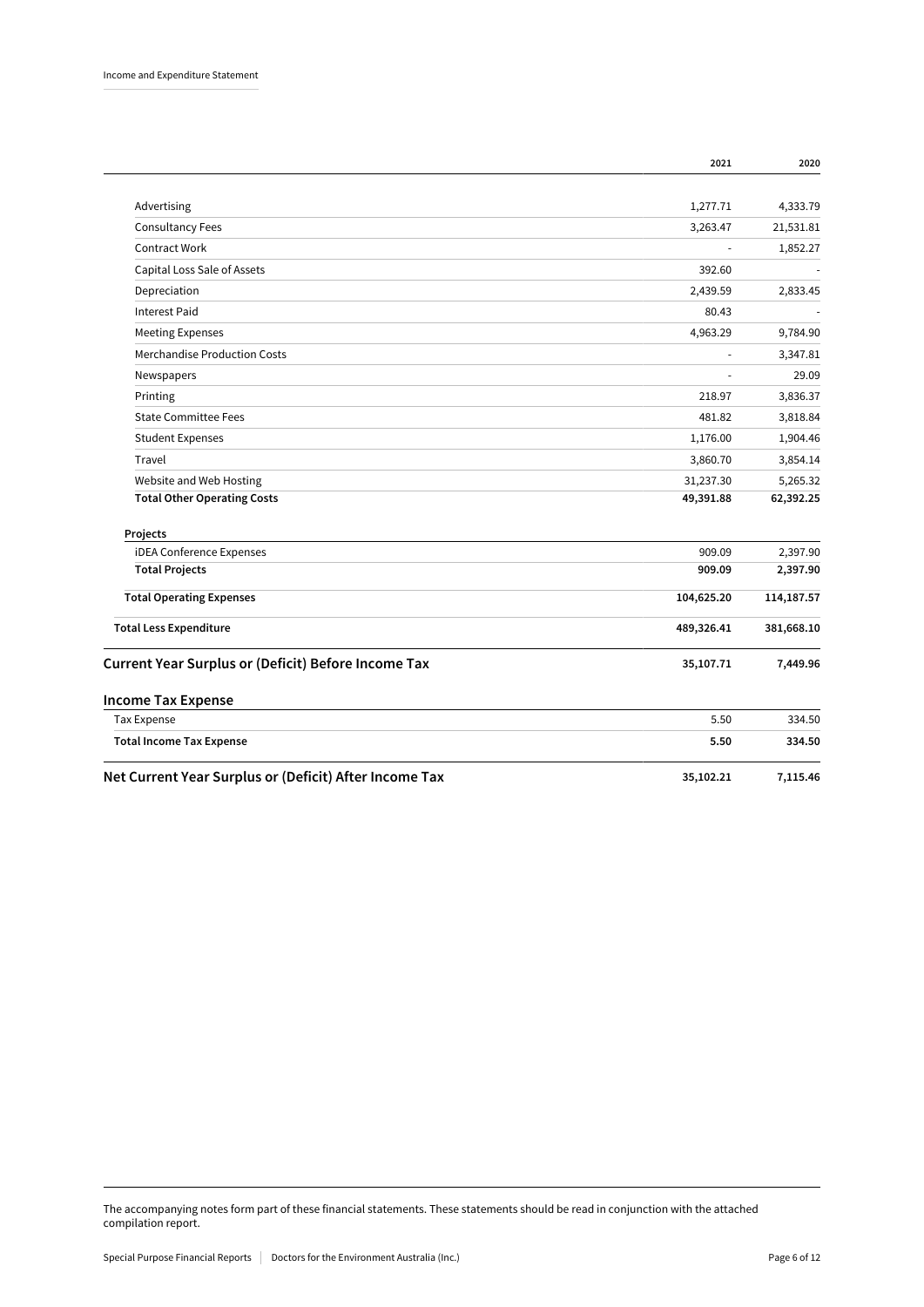|                                                            | 2021       | 2020       |
|------------------------------------------------------------|------------|------------|
|                                                            |            |            |
| Advertising                                                | 1,277.71   | 4,333.79   |
| <b>Consultancy Fees</b>                                    | 3,263.47   | 21,531.81  |
| <b>Contract Work</b>                                       |            | 1,852.27   |
| Capital Loss Sale of Assets                                | 392.60     |            |
| Depreciation                                               | 2,439.59   | 2,833.45   |
| <b>Interest Paid</b>                                       | 80.43      |            |
| <b>Meeting Expenses</b>                                    | 4,963.29   | 9,784.90   |
| <b>Merchandise Production Costs</b>                        |            | 3,347.81   |
| Newspapers                                                 |            | 29.09      |
| Printing                                                   | 218.97     | 3,836.37   |
| <b>State Committee Fees</b>                                | 481.82     | 3,818.84   |
| <b>Student Expenses</b>                                    | 1,176.00   | 1,904.46   |
| Travel                                                     | 3,860.70   | 3,854.14   |
| Website and Web Hosting                                    | 31,237.30  | 5,265.32   |
| <b>Total Other Operating Costs</b>                         | 49,391.88  | 62,392.25  |
| Projects                                                   |            |            |
| <b>iDEA Conference Expenses</b>                            | 909.09     | 2,397.90   |
| <b>Total Projects</b>                                      | 909.09     | 2,397.90   |
| <b>Total Operating Expenses</b>                            | 104,625.20 | 114,187.57 |
| <b>Total Less Expenditure</b>                              | 489,326.41 | 381,668.10 |
| <b>Current Year Surplus or (Deficit) Before Income Tax</b> | 35,107.71  | 7,449.96   |
| <b>Income Tax Expense</b>                                  |            |            |
| <b>Tax Expense</b>                                         | 5.50       | 334.50     |
| <b>Total Income Tax Expense</b>                            | 5.50       | 334.50     |
| Net Current Year Surplus or (Deficit) After Income Tax     | 35,102.21  | 7,115.46   |

The accompanying notes form part of these financial statements. These statements should be read in conjunction with the attached compilation report.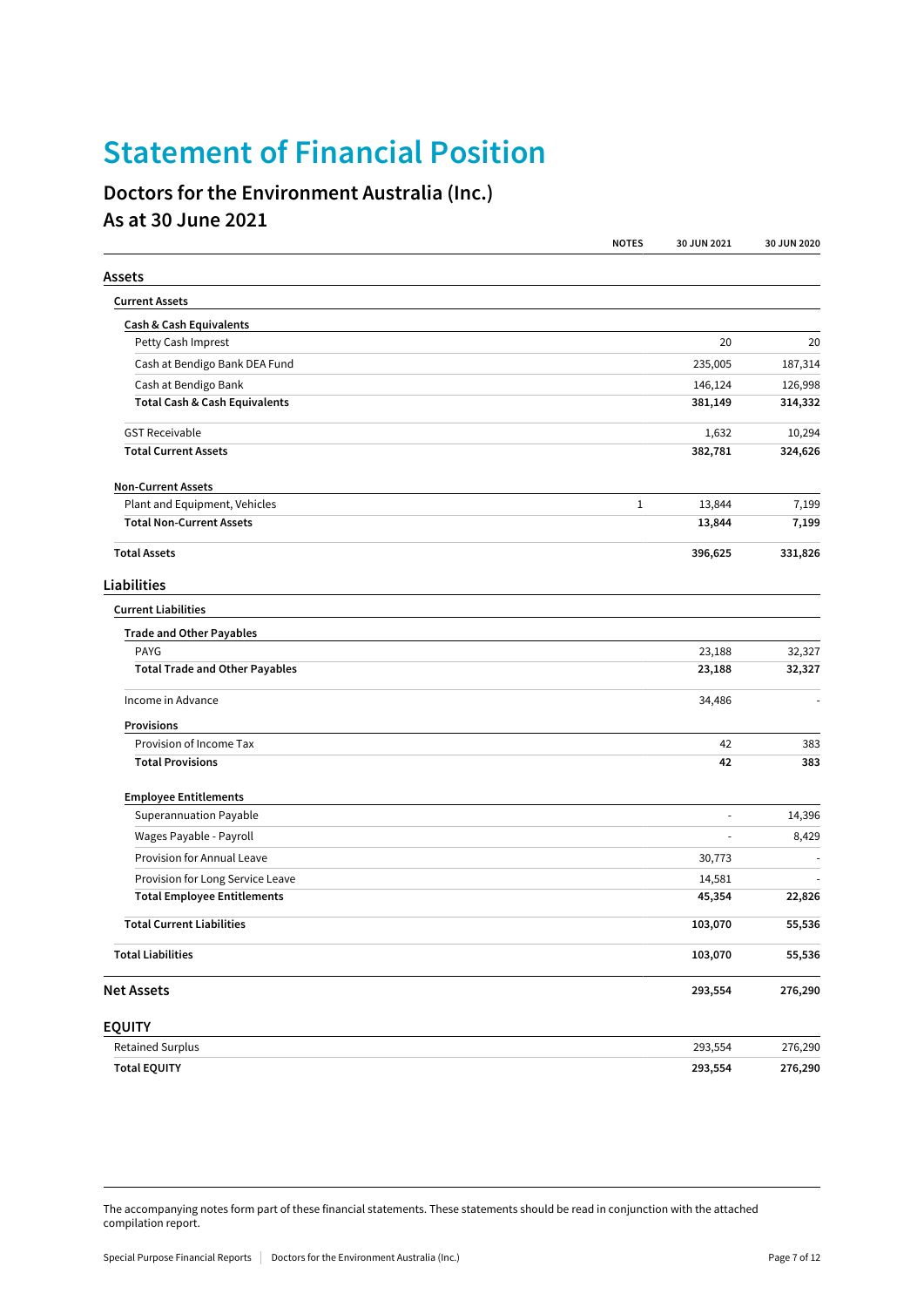## Statement of Financial Position

### Doctors for the Environment Australia (Inc.) As at 30 June 2021

|                                          | <b>NOTES</b> | 30 JUN 2021 | 30 JUN 2020 |
|------------------------------------------|--------------|-------------|-------------|
| Assets                                   |              |             |             |
| <b>Current Assets</b>                    |              |             |             |
| <b>Cash &amp; Cash Equivalents</b>       |              |             |             |
| Petty Cash Imprest                       |              | 20          | 20          |
| Cash at Bendigo Bank DEA Fund            |              | 235,005     | 187,314     |
| Cash at Bendigo Bank                     |              | 146,124     | 126,998     |
| <b>Total Cash &amp; Cash Equivalents</b> |              | 381,149     | 314,332     |
| <b>GST Receivable</b>                    |              | 1,632       | 10,294      |
| <b>Total Current Assets</b>              |              | 382,781     | 324,626     |
| <b>Non-Current Assets</b>                |              |             |             |
| Plant and Equipment, Vehicles            | $\mathbf 1$  | 13,844      | 7,199       |
| <b>Total Non-Current Assets</b>          |              | 13,844      | 7,199       |
| <b>Total Assets</b>                      |              | 396,625     | 331,826     |
| Liabilities                              |              |             |             |
| <b>Current Liabilities</b>               |              |             |             |
| <b>Trade and Other Payables</b>          |              |             |             |
| <b>PAYG</b>                              |              | 23,188      | 32,327      |
| <b>Total Trade and Other Payables</b>    |              | 23,188      | 32,327      |
| Income in Advance                        |              | 34,486      |             |
| <b>Provisions</b>                        |              |             |             |
| Provision of Income Tax                  |              | 42          | 383         |
| <b>Total Provisions</b>                  |              | 42          | 383         |
| <b>Employee Entitlements</b>             |              |             |             |
| Superannuation Payable                   |              | $\sim$      | 14,396      |
| Wages Payable - Payroll                  |              | ä,          | 8,429       |
| Provision for Annual Leave               |              | 30,773      |             |
| Provision for Long Service Leave         |              | 14,581      |             |
| <b>Total Employee Entitlements</b>       |              | 45,354      | 22,826      |
| <b>Total Current Liabilities</b>         |              | 103,070     | 55,536      |
| <b>Total Liabilities</b>                 |              | 103,070     | 55,536      |
| <b>Net Assets</b>                        |              | 293,554     | 276,290     |
| <b>EQUITY</b>                            |              |             |             |
| <b>Retained Surplus</b>                  |              | 293,554     | 276,290     |

The accompanying notes form part of these financial statements. These statements should be read in conjunction with the attached compilation report.

Total EQUITY 293,554 276,290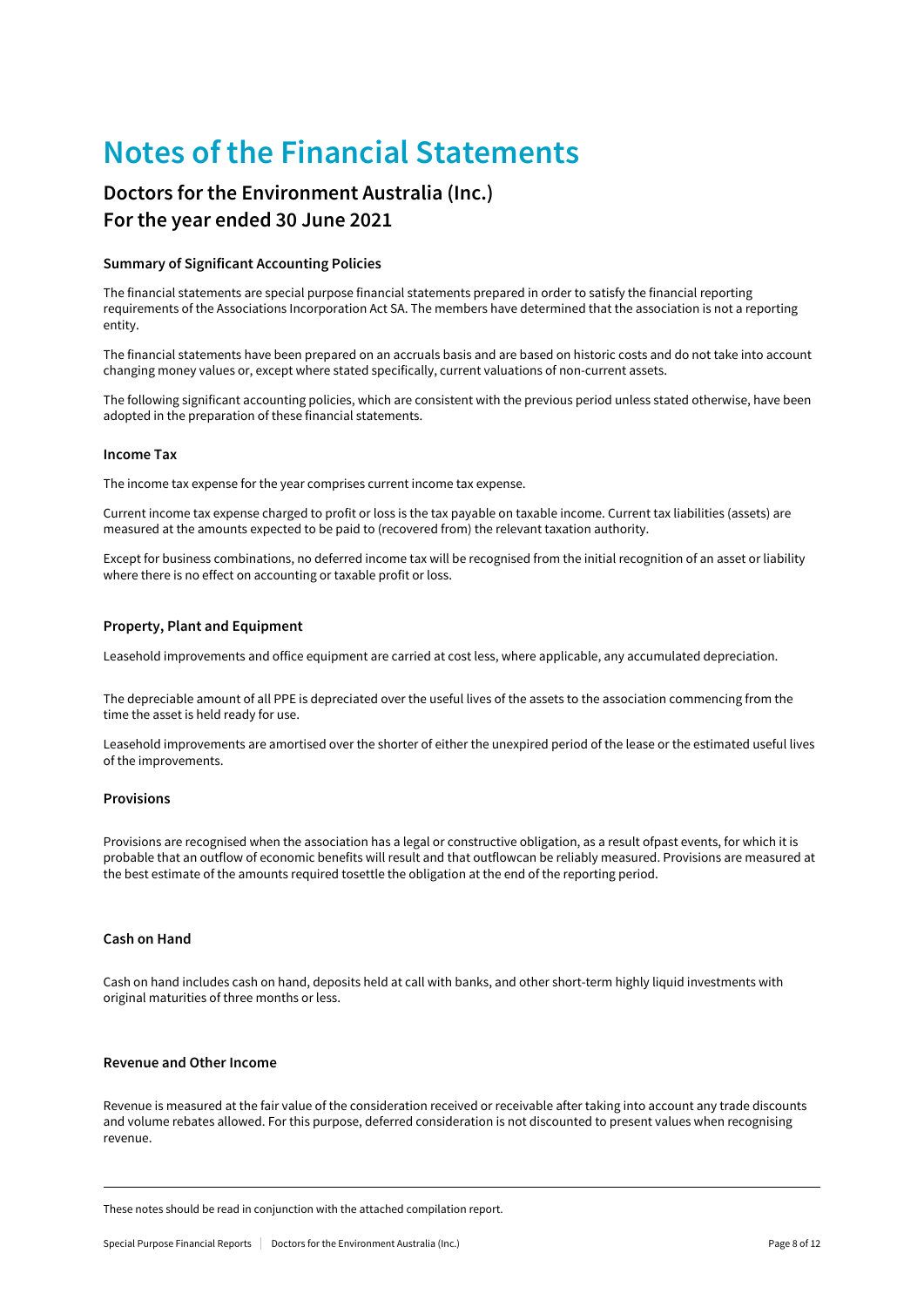## Notes of the Financial Statements

### Doctors for the Environment Australia (Inc.) For the year ended 30 June 2021

#### Summary of Significant Accounting Policies

The financial statements are special purpose financial statements prepared in order to satisfy the financial reporting requirements of the Associations Incorporation Act SA. The members have determined that the association is not a reporting entity.

The financial statements have been prepared on an accruals basis and are based on historic costs and do not take into account changing money values or, except where stated specifically, current valuations of non-current assets.

The following significant accounting policies, which are consistent with the previous period unless stated otherwise, have been adopted in the preparation of these financial statements.

#### Income Tax

The income tax expense for the year comprises current income tax expense.

Current income tax expense charged to profit or loss is the tax payable on taxable income. Current tax liabilities (assets) are measured at the amounts expected to be paid to (recovered from) the relevant taxation authority.

Except for business combinations, no deferred income tax will be recognised from the initial recognition of an asset or liability where there is no effect on accounting or taxable profit or loss.

#### Property, Plant and Equipment

Leasehold improvements and office equipment are carried at cost less, where applicable, any accumulated depreciation.

The depreciable amount of all PPE is depreciated over the useful lives of the assets to the association commencing from the time the asset is held ready for use.

Leasehold improvements are amortised over the shorter of either the unexpired period of the lease or the estimated useful lives of the improvements.

### Provisions

Provisions are recognised when the association has a legal or constructive obligation, as a result ofpast events, for which it is probable that an outflow of economic benefits will result and that outflowcan be reliably measured. Provisions are measured at the best estimate of the amounts required tosettle the obligation at the end of the reporting period.

### Cash on Hand

Cash on hand includes cash on hand, deposits held at call with banks, and other short-term highly liquid investments with original maturities of three months or less.

### Revenue and Other Income

Revenue is measured at the fair value of the consideration received or receivable after taking into account any trade discounts and volume rebates allowed. For this purpose, deferred consideration is not discounted to present values when recognising revenue.

These notes should be read in conjunction with the attached compilation report.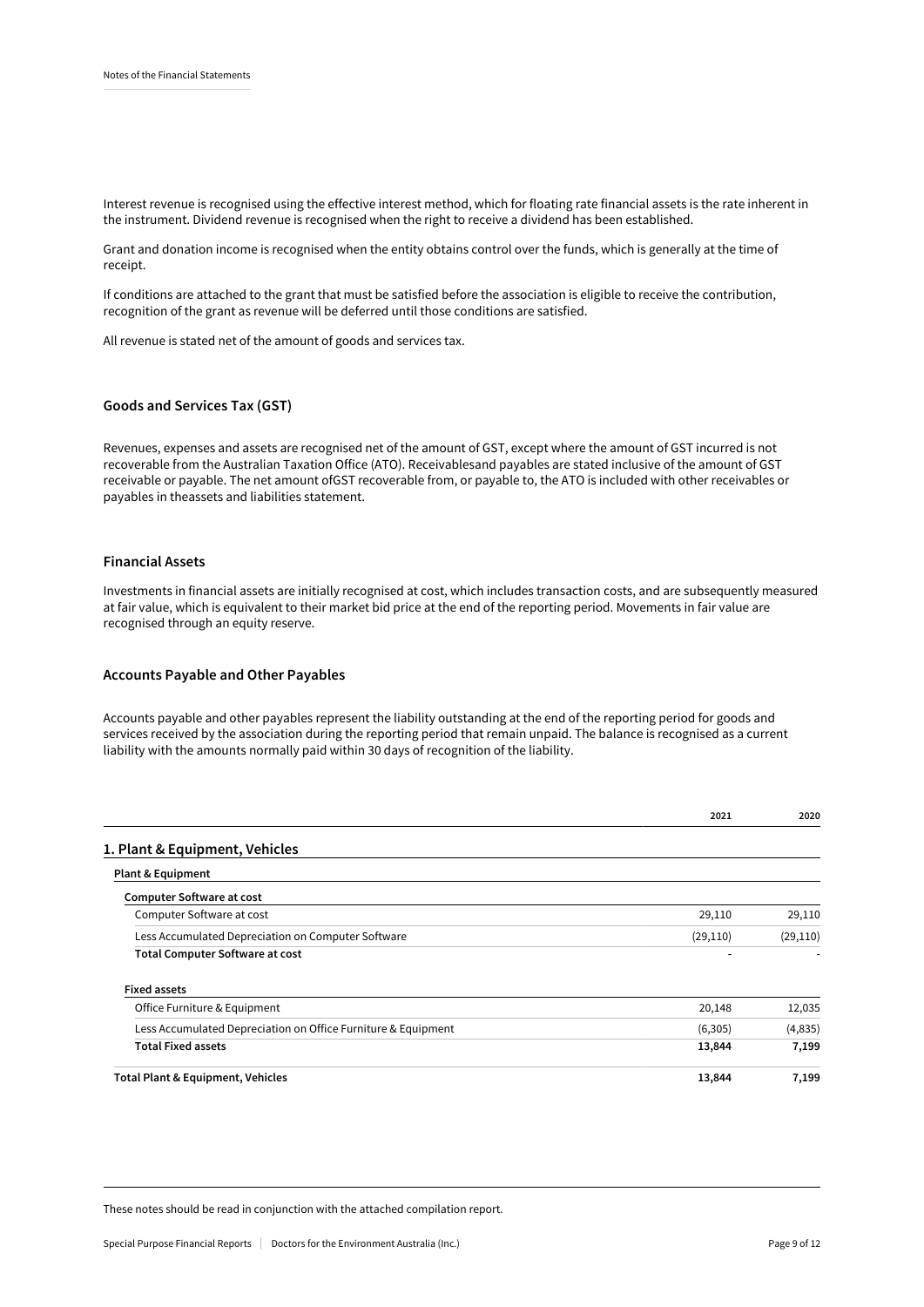Interest revenue is recognised using the effective interest method, which for floating rate financial assets is the rate inherent in the instrument. Dividend revenue is recognised when the right to receive a dividend has been established.

Grant and donation income is recognised when the entity obtains control over the funds, which is generally at the time of receipt.

If conditions are attached to the grant that must be satisfied before the association is eligible to receive the contribution, recognition of the grant as revenue will be deferred until those conditions are satisfied.

All revenue is stated net of the amount of goods and services tax.

### Goods and Services Tax (GST)

Revenues, expenses and assets are recognised net of the amount of GST, except where the amount of GST incurred is not recoverable from the Australian Taxation Office (ATO). Receivablesand payables are stated inclusive of the amount of GST receivable or payable. The net amount ofGST recoverable from, or payable to, the ATO is included with other receivables or payables in theassets and liabilities statement.

#### Financial Assets

Investments in financial assets are initially recognised at cost, which includes transaction costs, and are subsequently measured at fair value, which is equivalent to their market bid price at the end of the reporting period. Movements in fair value are recognised through an equity reserve.

#### Accounts Payable and Other Payables

Accounts payable and other payables represent the liability outstanding at the end of the reporting period for goods and services received by the association during the reporting period that remain unpaid. The balance is recognised as a current liability with the amounts normally paid within 30 days of recognition of the liability.

|                                                               | 2021      | 2020      |
|---------------------------------------------------------------|-----------|-----------|
| 1. Plant & Equipment, Vehicles                                |           |           |
| <b>Plant &amp; Equipment</b>                                  |           |           |
| <b>Computer Software at cost</b>                              |           |           |
| Computer Software at cost                                     | 29,110    | 29,110    |
| Less Accumulated Depreciation on Computer Software            | (29, 110) | (29, 110) |
| <b>Total Computer Software at cost</b>                        |           |           |
| <b>Fixed assets</b>                                           |           |           |
| Office Furniture & Equipment                                  | 20,148    | 12,035    |
| Less Accumulated Depreciation on Office Furniture & Equipment | (6,305)   | (4,835)   |
| <b>Total Fixed assets</b>                                     | 13,844    | 7,199     |
| Total Plant & Equipment, Vehicles                             | 13,844    | 7,199     |

These notes should be read in conjunction with the attached compilation report.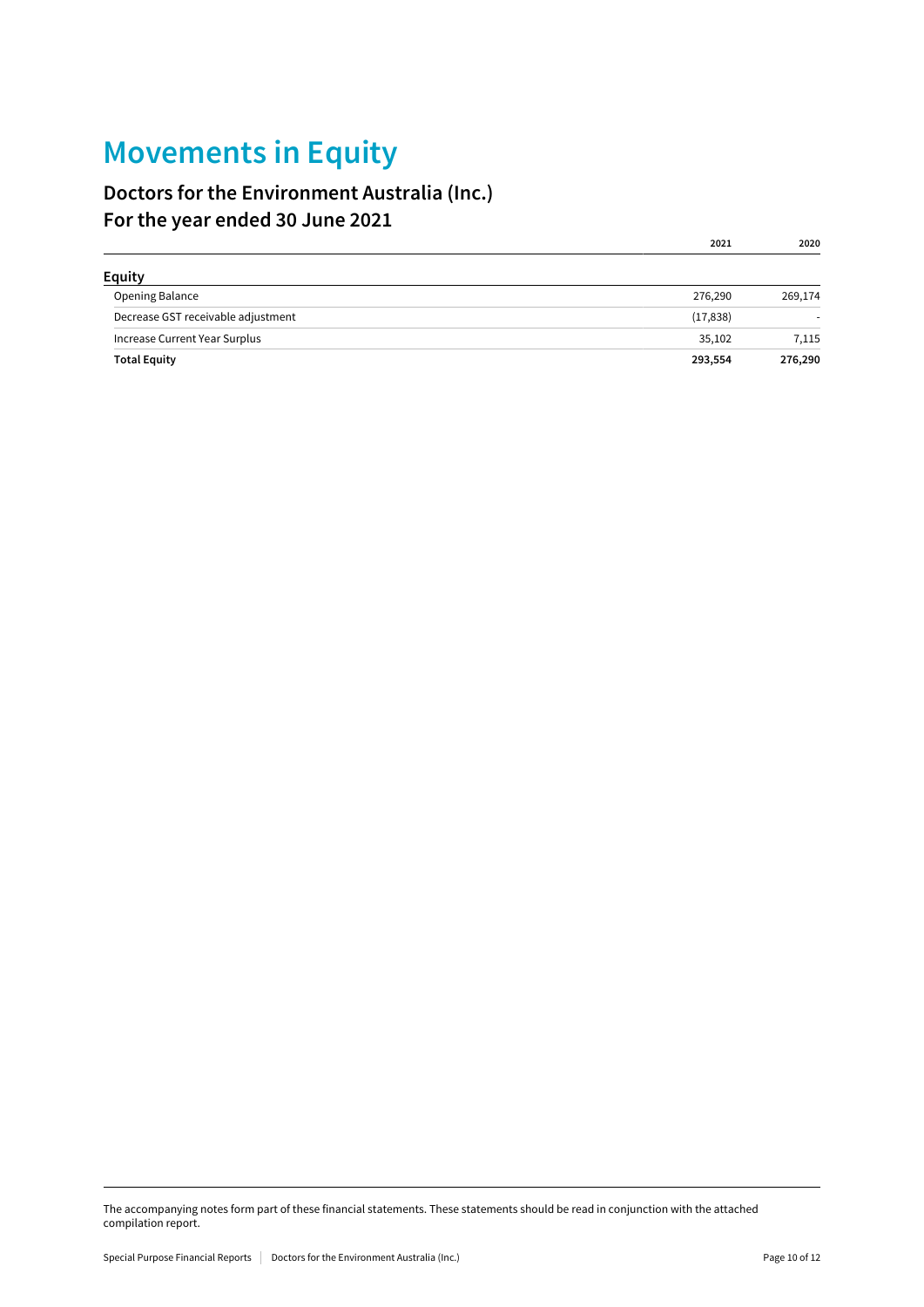## Movements in Equity

### Doctors for the Environment Australia (Inc.) For the year ended 30 June 2021

| <b>Equity</b>                      |           |         |
|------------------------------------|-----------|---------|
| Opening Balance                    | 276,290   | 269,174 |
| Decrease GST receivable adjustment | (17, 838) |         |
| Increase Current Year Surplus      | 35,102    | 7,115   |
| <b>Total Equity</b>                | 293,554   | 276,290 |

2021 2020

The accompanying notes form part of these financial statements. These statements should be read in conjunction with the attached compilation report.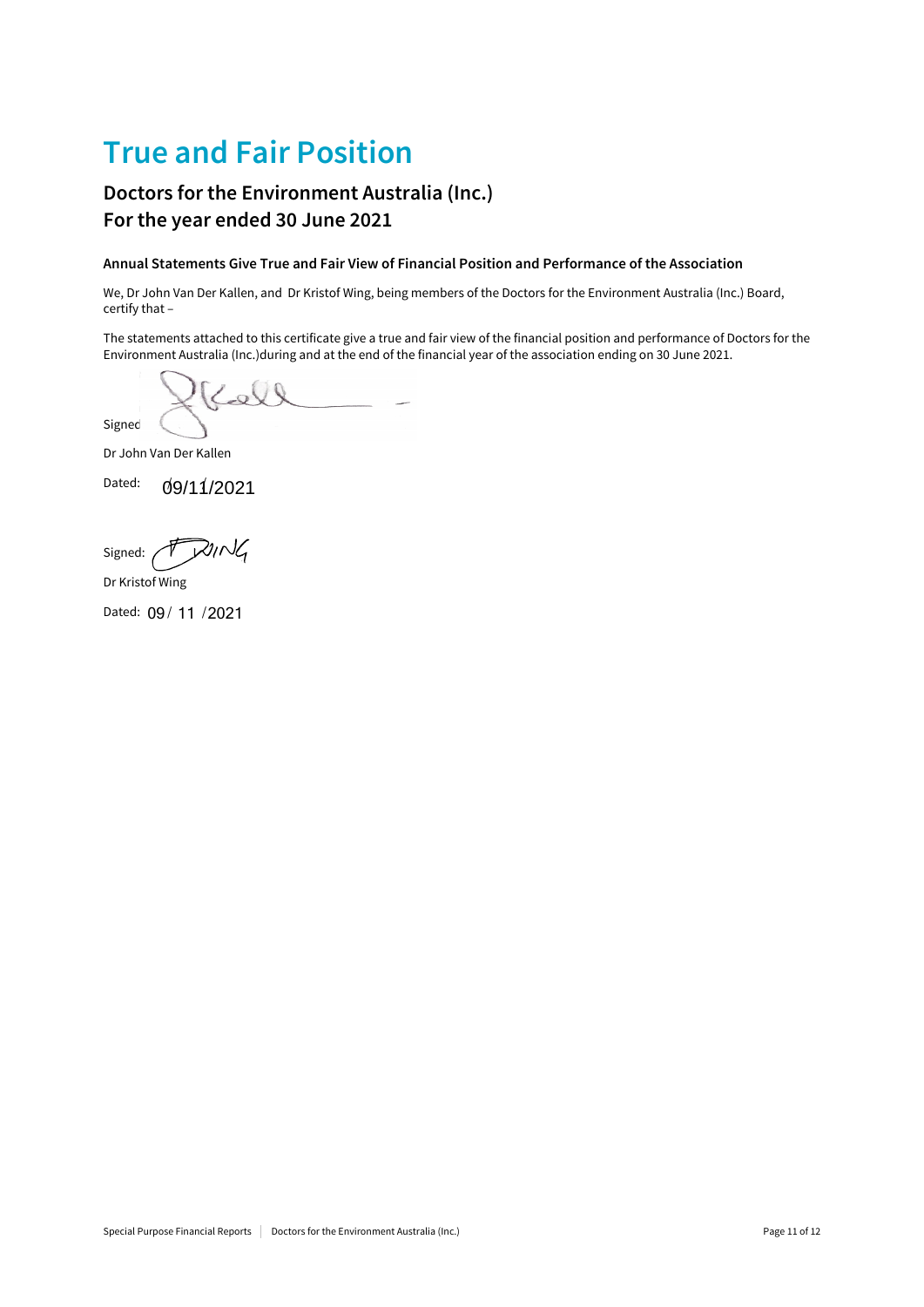## True and Fair Position

### Doctors for the Environment Australia (Inc.) For the year ended 30 June 2021

### Annual Statements Give True and Fair View of Financial Position and Performance of the Association

We, Dr John Van Der Kallen, and Dr Kristof Wing, being members of the Doctors for the Environment Australia (Inc.) Board, certify that –

The statements attached to this certificate give a true and fair view of the financial position and performance of Doctors for the Environment Australia (Inc.)during and at the end of the financial year of the association ending on 30 June 2021.

 $\sim$ Signed:

Dr John Van Der Kallen

Dated: / / 09/11/2021

RING Signed:

Dr Kristof Wing

Dated: 09 / 11 / 2021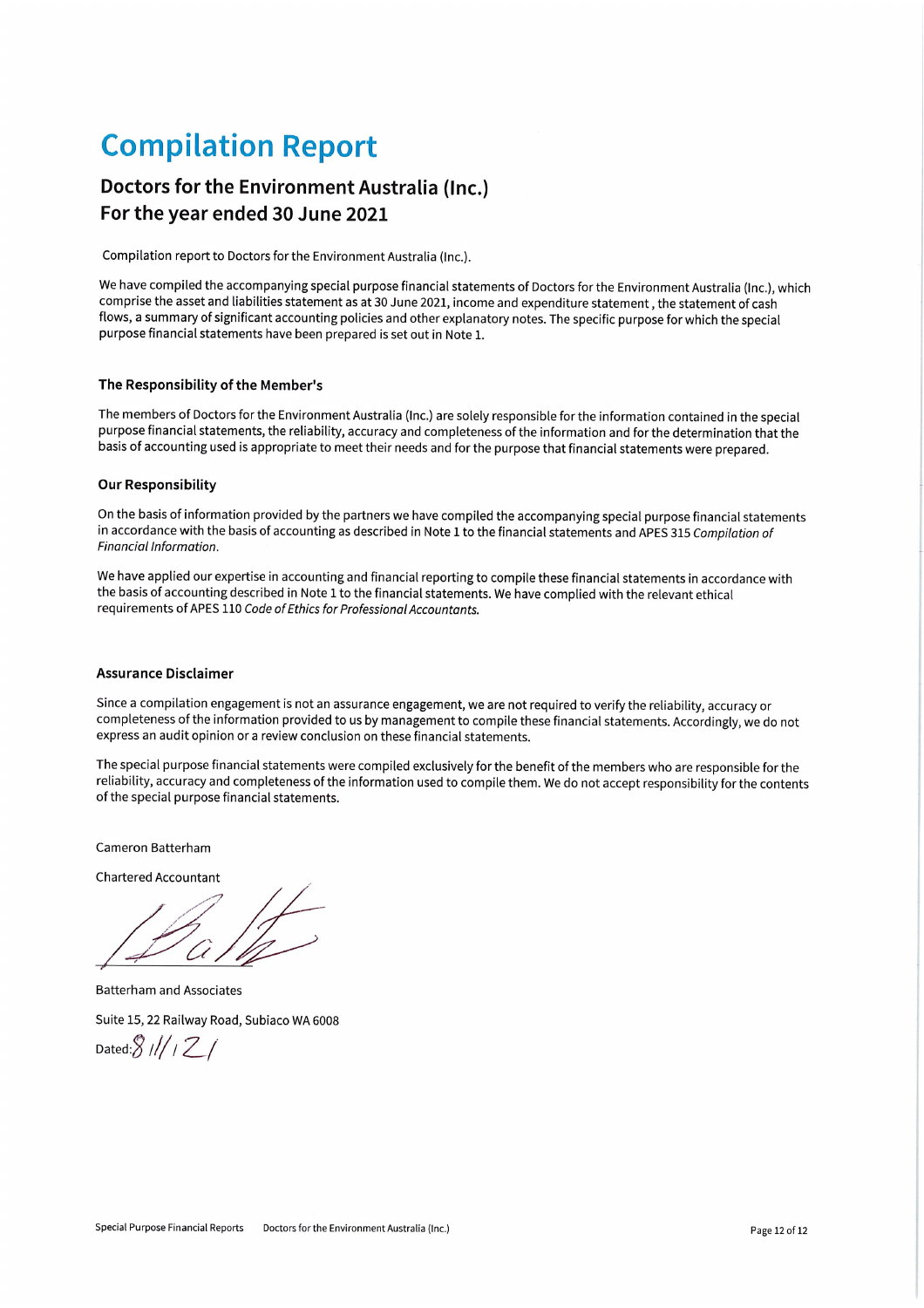## **Compilation Report**

### Doctors for the Environment Australia (Inc.) For the year ended 30 June 2021

Compilation report to Doctors for the Environment Australia (Inc.).

We have compiled the accompanying special purpose financial statements of Doctors for the Environment Australia (Inc.), which comprise the asset and liabilities statement as at 30 June 2021, income and expenditure statement, the statement of cash flows, a summary of significant accounting policies and other explanatory notes. The specific purpose for which the special purpose financial statements have been prepared is set out in Note 1.

### The Responsibility of the Member's

The members of Doctors for the Environment Australia (Inc.) are solely responsible for the information contained in the special purpose financial statements, the reliability, accuracy and completeness of the information and for the determination that the basis of accounting used is appropriate to meet their needs and for the purpose that financial statements were prepared.

### **Our Responsibility**

On the basis of information provided by the partners we have compiled the accompanying special purpose financial statements in accordance with the basis of accounting as described in Note 1 to the financial statements and APES 315 Compilation of Financial Information.

We have applied our expertise in accounting and financial reporting to compile these financial statements in accordance with the basis of accounting described in Note 1 to the financial statements. We have complied with the relevant ethical requirements of APES 110 Code of Ethics for Professional Accountants.

### **Assurance Disclaimer**

Since a compilation engagement is not an assurance engagement, we are not required to verify the reliability, accuracy or completeness of the information provided to us by management to compile these financial statements. Accordingly, we do not express an audit opinion or a review conclusion on these financial statements.

The special purpose financial statements were compiled exclusively for the benefit of the members who are responsible for the reliability, accuracy and completeness of the information used to compile them. We do not accept responsibility for the contents of the special purpose financial statements.

Cameron Batterham

**Chartered Accountant** 

**Batterham and Associates** 

Suite 15, 22 Railway Road, Subiaco WA 6008

Dated: $8$  /// / 2 /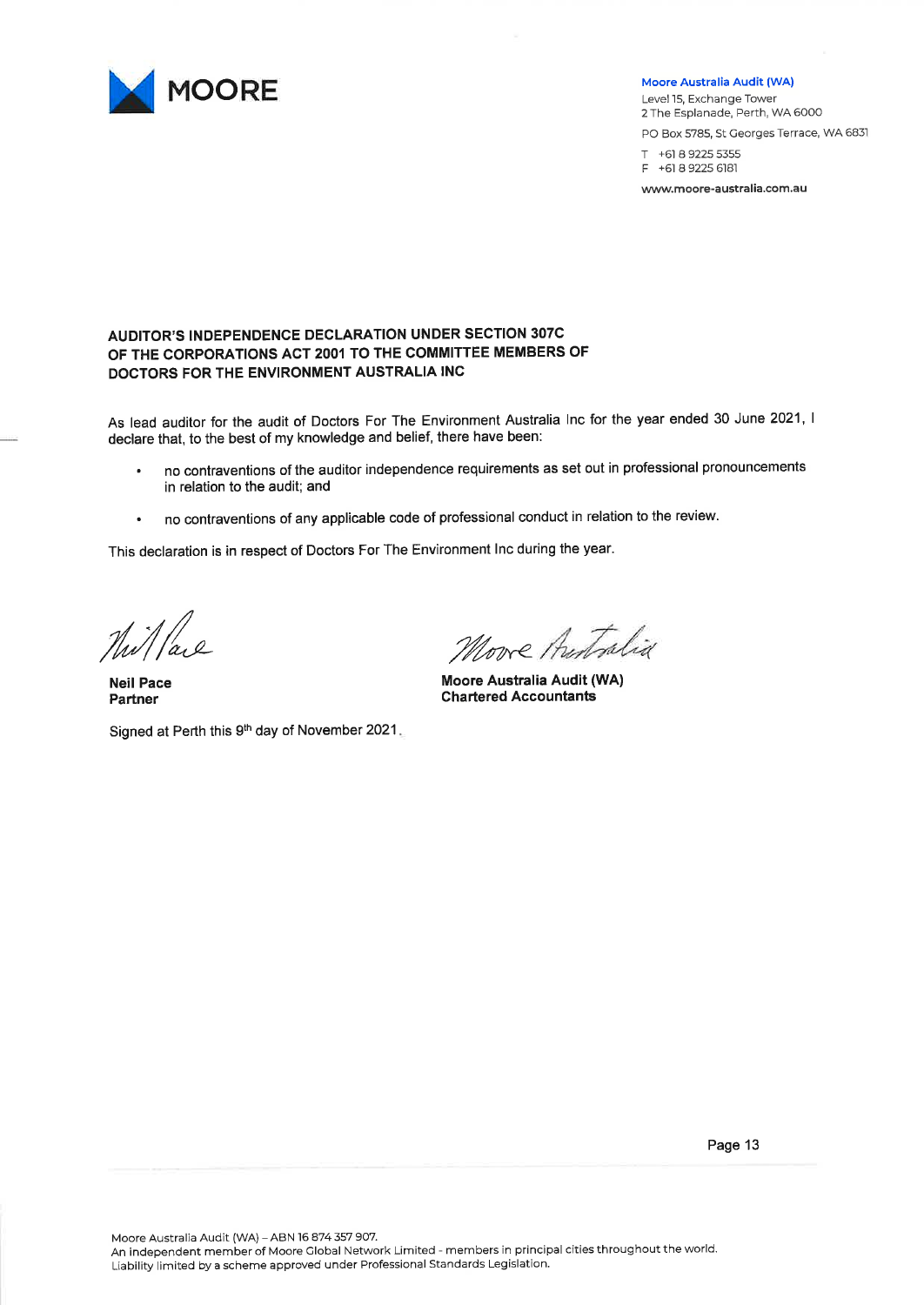

#### Moore Australia Audit (WA)

Level 15, Exchange Tower 2 The Esplanade, Perth, WA 6000 PO Box 5785, St Georges Terrace, WA 6831 T +61 8 9225 5355

+61 8 9225 6181  $\mathsf{E}$ 

www.moore-australia.com.au

### **AUDITOR'S INDEPENDENCE DECLARATION UNDER SECTION 307C** OF THE CORPORATIONS ACT 2001 TO THE COMMITTEE MEMBERS OF DOCTORS FOR THE ENVIRONMENT AUSTRALIA INC

As lead auditor for the audit of Doctors For The Environment Australia Inc for the year ended 30 June 2021, I declare that, to the best of my knowledge and belief, there have been:

- no contraventions of the auditor independence requirements as set out in professional pronouncements in relation to the audit; and
- no contraventions of any applicable code of professional conduct in relation to the review.  $\bullet$

This declaration is in respect of Doctors For The Environment Inc during the year.

Nillace

**Neil Pace** Partner

Signed at Perth this 9th day of November 2021.

More Antralia

Moore Australia Audit (WA) **Chartered Accountants** 

Page 13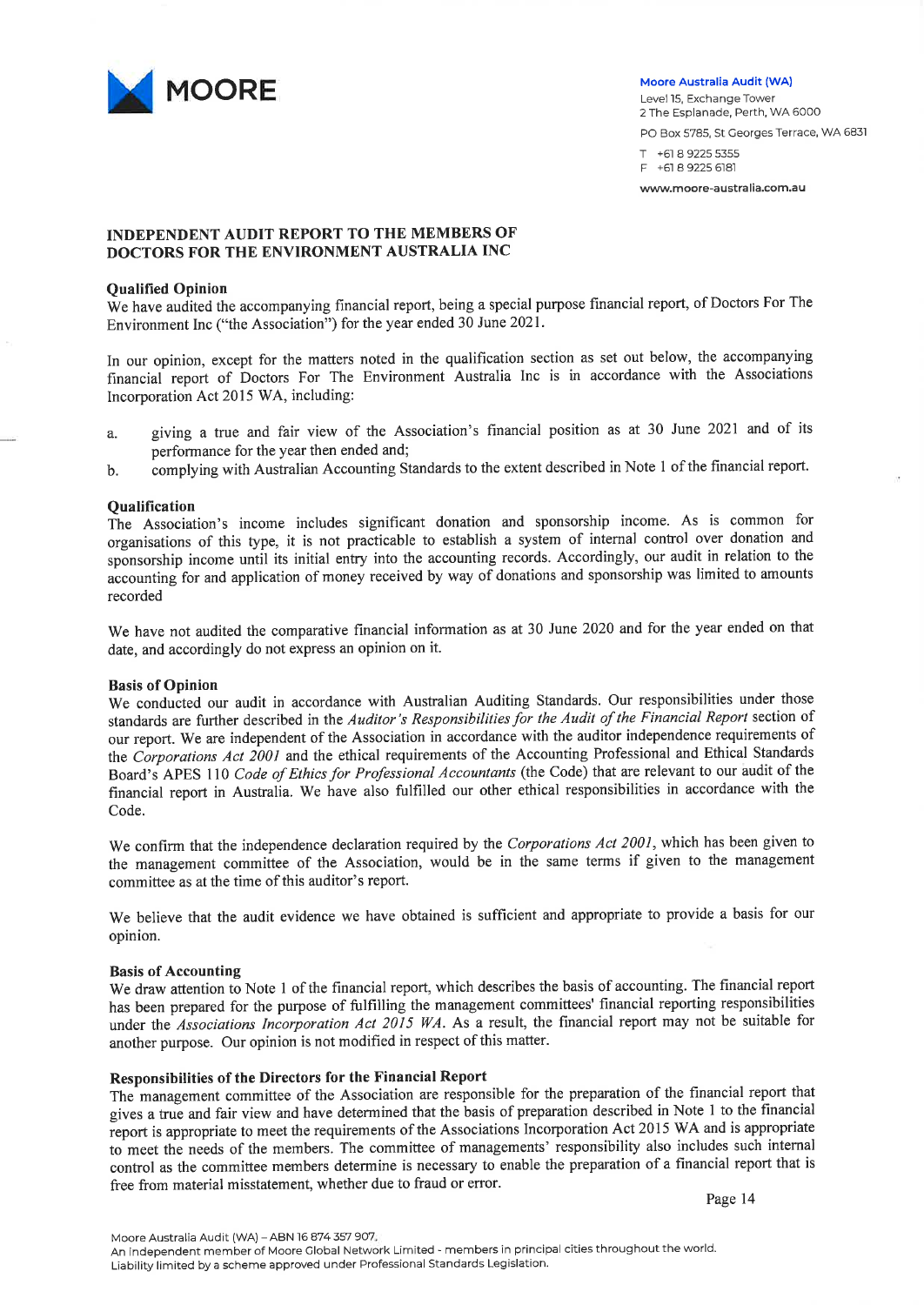

#### Moore Australia Audit (WA)

Level 15, Exchange Tower 2 The Esplanade, Perth, WA 6000 PO Box 5785, St Georges Terrace, WA 6831 T +61 8 9225 5355 F +61 8 9225 6181

www.moore-australia.com.au

### **INDEPENDENT AUDIT REPORT TO THE MEMBERS OF** DOCTORS FOR THE ENVIRONMENT AUSTRALIA INC

### **Qualified Opinion**

We have audited the accompanying financial report, being a special purpose financial report, of Doctors For The Environment Inc ("the Association") for the year ended 30 June 2021.

In our opinion, except for the matters noted in the qualification section as set out below, the accompanying financial report of Doctors For The Environment Australia Inc is in accordance with the Associations Incorporation Act 2015 WA, including:

- giving a true and fair view of the Association's financial position as at 30 June 2021 and of its  $\mathbf{a}$ performance for the year then ended and;
- complying with Australian Accounting Standards to the extent described in Note 1 of the financial report. b.

### **Oualification**

The Association's income includes significant donation and sponsorship income. As is common for organisations of this type, it is not practicable to establish a system of internal control over donation and sponsorship income until its initial entry into the accounting records. Accordingly, our audit in relation to the accounting for and application of money received by way of donations and sponsorship was limited to amounts recorded

We have not audited the comparative financial information as at 30 June 2020 and for the year ended on that date, and accordingly do not express an opinion on it.

### **Basis of Opinion**

We conducted our audit in accordance with Australian Auditing Standards. Our responsibilities under those standards are further described in the Auditor's Responsibilities for the Audit of the Financial Report section of our report. We are independent of the Association in accordance with the auditor independence requirements of the Corporations Act 2001 and the ethical requirements of the Accounting Professional and Ethical Standards Board's APES 110 Code of Ethics for Professional Accountants (the Code) that are relevant to our audit of the financial report in Australia. We have also fulfilled our other ethical responsibilities in accordance with the Code.

We confirm that the independence declaration required by the Corporations Act 2001, which has been given to the management committee of the Association, would be in the same terms if given to the management committee as at the time of this auditor's report.

We believe that the audit evidence we have obtained is sufficient and appropriate to provide a basis for our opinion.

### **Basis of Accounting**

We draw attention to Note 1 of the financial report, which describes the basis of accounting. The financial report has been prepared for the purpose of fulfilling the management committees' financial reporting responsibilities under the Associations Incorporation Act 2015 WA. As a result, the financial report may not be suitable for another purpose. Our opinion is not modified in respect of this matter.

### Responsibilities of the Directors for the Financial Report

The management committee of the Association are responsible for the preparation of the financial report that gives a true and fair view and have determined that the basis of preparation described in Note 1 to the financial report is appropriate to meet the requirements of the Associations Incorporation Act 2015 WA and is appropriate to meet the needs of the members. The committee of managements' responsibility also includes such internal control as the committee members determine is necessary to enable the preparation of a financial report that is free from material misstatement, whether due to fraud or error.

Page 14